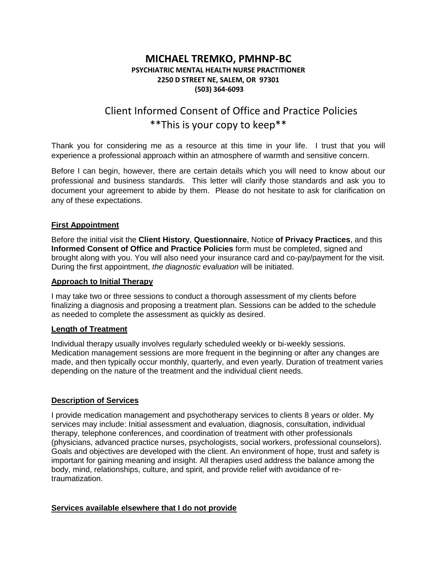# **MICHAEL TREMKO, PMHNP-BC PSYCHIATRIC MENTAL HEALTH NURSE PRACTITIONER 2250 D STREET NE, SALEM, OR 97301 (503) 364-6093**

# Client Informed Consent of Office and Practice Policies \*\*This is your copy to keep\*\*

Thank you for considering me as a resource at this time in your life. I trust that you will experience a professional approach within an atmosphere of warmth and sensitive concern.

Before I can begin, however, there are certain details which you will need to know about our professional and business standards. This letter will clarify those standards and ask you to document your agreement to abide by them. Please do not hesitate to ask for clarification on any of these expectations.

### **First Appointment**

Before the initial visit the **Client History**, **Questionnaire**, Notice **of Privacy Practices**, and this **Informed Consent of Office and Practice Policies** form must be completed, signed and brought along with you. You will also need your insurance card and co-pay/payment for the visit. During the first appointment, *the diagnostic evaluation* will be initiated.

#### **Approach to Initial Therapy**

I may take two or three sessions to conduct a thorough assessment of my clients before finalizing a diagnosis and proposing a treatment plan. Sessions can be added to the schedule as needed to complete the assessment as quickly as desired.

#### **Length of Treatment**

Individual therapy usually involves regularly scheduled weekly or bi-weekly sessions. Medication management sessions are more frequent in the beginning or after any changes are made, and then typically occur monthly, quarterly, and even yearly. Duration of treatment varies depending on the nature of the treatment and the individual client needs.

## **Description of Services**

I provide medication management and psychotherapy services to clients 8 years or older. My services may include: Initial assessment and evaluation, diagnosis, consultation, individual therapy, telephone conferences, and coordination of treatment with other professionals (physicians, advanced practice nurses, psychologists, social workers, professional counselors). Goals and objectives are developed with the client. An environment of hope, trust and safety is important for gaining meaning and insight. All therapies used address the balance among the body, mind, relationships, culture, and spirit, and provide relief with avoidance of retraumatization.

#### **Services available elsewhere that I do not provide**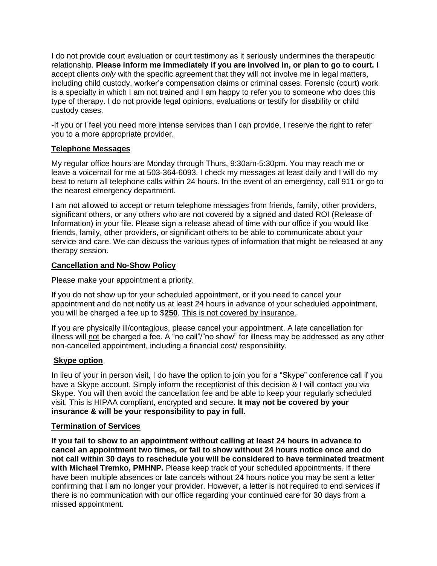I do not provide court evaluation or court testimony as it seriously undermines the therapeutic relationship. **Please inform me immediately if you are involved in, or plan to go to court.** I accept clients *only* with the specific agreement that they will not involve me in legal matters, including child custody, worker's compensation claims or criminal cases. Forensic (court) work is a specialty in which I am not trained and I am happy to refer you to someone who does this type of therapy. I do not provide legal opinions, evaluations or testify for disability or child custody cases.

-If you or I feel you need more intense services than I can provide, I reserve the right to refer you to a more appropriate provider.

## **Telephone Messages**

My regular office hours are Monday through Thurs, 9:30am-5:30pm. You may reach me or leave a voicemail for me at 503-364-6093. I check my messages at least daily and I will do my best to return all telephone calls within 24 hours. In the event of an emergency, call 911 or go to the nearest emergency department.

I am not allowed to accept or return telephone messages from friends, family, other providers, significant others, or any others who are not covered by a signed and dated ROI (Release of Information) in your file. Please sign a release ahead of time with our office if you would like friends, family, other providers, or significant others to be able to communicate about your service and care. We can discuss the various types of information that might be released at any therapy session.

## **Cancellation and No-Show Policy**

Please make your appointment a priority.

If you do not show up for your scheduled appointment, or if you need to cancel your appointment and do not notify us at least 24 hours in advance of your scheduled appointment, you will be charged a fee up to \$**250**. This is not covered by insurance.

If you are physically ill/contagious, please cancel your appointment. A late cancellation for illness will not be charged a fee. A "no call"/"no show" for illness may be addressed as any other non-cancelled appointment, including a financial cost/ responsibility.

## **Skype option**

In lieu of your in person visit, I do have the option to join you for a "Skype" conference call if you have a Skype account. Simply inform the receptionist of this decision & I will contact you via Skype. You will then avoid the cancellation fee and be able to keep your regularly scheduled visit. This is HIPAA compliant, encrypted and secure. **It may not be covered by your insurance & will be your responsibility to pay in full.**

## **Termination of Services**

**If you fail to show to an appointment without calling at least 24 hours in advance to cancel an appointment two times, or fail to show without 24 hours notice once and do not call within 30 days to reschedule you will be considered to have terminated treatment with Michael Tremko, PMHNP.** Please keep track of your scheduled appointments. If there have been multiple absences or late cancels without 24 hours notice you may be sent a letter confirming that I am no longer your provider. However, a letter is not required to end services if there is no communication with our office regarding your continued care for 30 days from a missed appointment.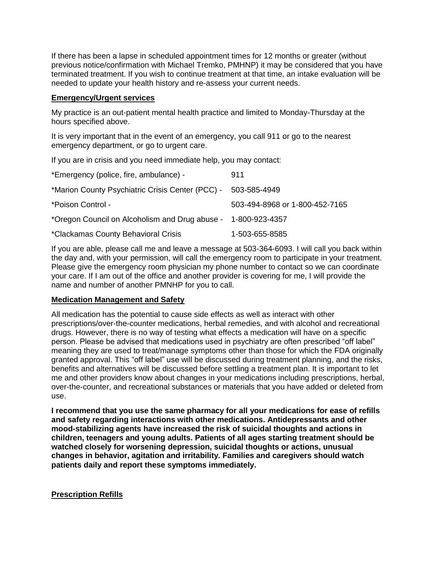If there has been a lapse in scheduled appointment times for 12 months or greater (without previous notice/confirmation with Michael Tremko, PMHNP) it may be considered that you have terminated treatment. If you wish to continue treatment at that time, an intake evaluation will be needed to update your health history and re-assess your current needs.

#### **Emergency/Urgent services**

My practice is an out-patient mental health practice and limited to Monday-Thursday at the hours specified above.

It is very important that in the event of an emergency, you call 911 or go to the nearest emergency department, or go to urgent care.

If you are in crisis and you need immediate help, you may contact:

| *Emergency (police, fire, ambulance) -                        | 911                            |
|---------------------------------------------------------------|--------------------------------|
| *Marion County Psychiatric Crisis Center (PCC) -              | 503-585-4949                   |
| *Poison Control -                                             | 503-494-8968 or 1-800-452-7165 |
| *Oregon Council on Alcoholism and Drug abuse - 1-800-923-4357 |                                |
| <i>*Clackamas County Behavioral Crisis</i>                    | 1-503-655-8585                 |

If you are able, please call me and leave a message at 503-364-6093. I will call you back within the day and, with your permission, will call the emergency room to participate in your treatment. Please give the emergency room physician my phone number to contact so we can coordinate your care. If I am out of the office and another provider is covering for me, I will provide the name and number of another PMNHP for you to call.

#### **Medication Management and Safety**

All medication has the potential to cause side effects as well as interact with other prescriptions/over-the-counter medications, herbal remedies, and with alcohol and recreational drugs. However, there is no way of testing what effects a medication will have on a specific person. Please be advised that medications used in psychiatry are often prescribed "off label" meaning they are used to treat/manage symptoms other than those for which the FDA originally granted approval. This "off label" use will be discussed during treatment planning, and the risks, benefits and alternatives will be discussed before settling a treatment plan. It is important to let me and other providers know about changes in your medications including prescriptions, herbal, over-the-counter, and recreational substances or materials that you have added or deleted from use.

**I recommend that you use the same pharmacy for all your medications for ease of refills and safety regarding interactions with other medications. Antidepressants and other mood-stabilizing agents have increased the risk of suicidal thoughts and actions in children, teenagers and young adults. Patients of all ages starting treatment should be watched closely for worsening depression, suicidal thoughts or actions, unusual changes in behavior, agitation and irritability. Families and caregivers should watch patients daily and report these symptoms immediately.** 

## **Prescription Refills**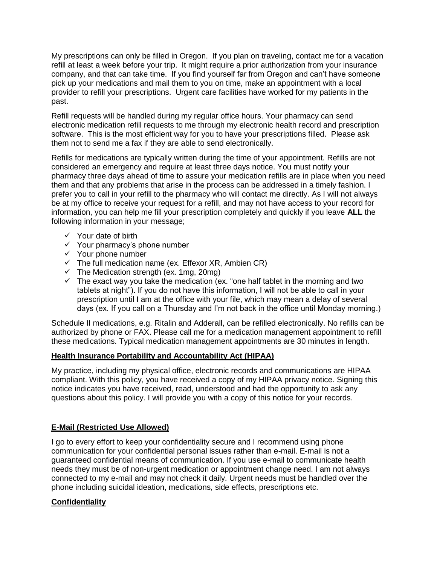My prescriptions can only be filled in Oregon. If you plan on traveling, contact me for a vacation refill at least a week before your trip. It might require a prior authorization from your insurance company, and that can take time. If you find yourself far from Oregon and can't have someone pick up your medications and mail them to you on time, make an appointment with a local provider to refill your prescriptions. Urgent care facilities have worked for my patients in the past.

Refill requests will be handled during my regular office hours. Your pharmacy can send electronic medication refill requests to me through my electronic health record and prescription software. This is the most efficient way for you to have your prescriptions filled. Please ask them not to send me a fax if they are able to send electronically.

Refills for medications are typically written during the time of your appointment. Refills are not considered an emergency and require at least three days notice. You must notify your pharmacy three days ahead of time to assure your medication refills are in place when you need them and that any problems that arise in the process can be addressed in a timely fashion. I prefer you to call in your refill to the pharmacy who will contact me directly. As I will not always be at my office to receive your request for a refill, and may not have access to your record for information, you can help me fill your prescription completely and quickly if you leave **ALL** the following information in your message;

- $\checkmark$  Your date of birth
- $\checkmark$  Your pharmacy's phone number
- $\checkmark$  Your phone number
- $\checkmark$  The full medication name (ex. Effexor XR, Ambien CR)
- $\checkmark$  The Medication strength (ex. 1mg, 20mg)
- $\checkmark$  The exact way you take the medication (ex. "one half tablet in the morning and two tablets at night"). If you do not have this information, I will not be able to call in your prescription until I am at the office with your file, which may mean a delay of several days (ex. If you call on a Thursday and I'm not back in the office until Monday morning.)

Schedule II medications, e.g. Ritalin and Adderall, can be refilled electronically. No refills can be authorized by phone or FAX. Please call me for a medication management appointment to refill these medications. Typical medication management appointments are 30 minutes in length.

## **Health Insurance Portability and Accountability Act (HIPAA)**

My practice, including my physical office, electronic records and communications are HIPAA compliant. With this policy, you have received a copy of my HIPAA privacy notice. Signing this notice indicates you have received, read, understood and had the opportunity to ask any questions about this policy. I will provide you with a copy of this notice for your records.

# **E-Mail (Restricted Use Allowed)**

I go to every effort to keep your confidentiality secure and I recommend using phone communication for your confidential personal issues rather than e-mail. E-mail is not a guaranteed confidential means of communication. If you use e-mail to communicate health needs they must be of non-urgent medication or appointment change need. I am not always connected to my e-mail and may not check it daily. Urgent needs must be handled over the phone including suicidal ideation, medications, side effects, prescriptions etc.

# **Confidentiality**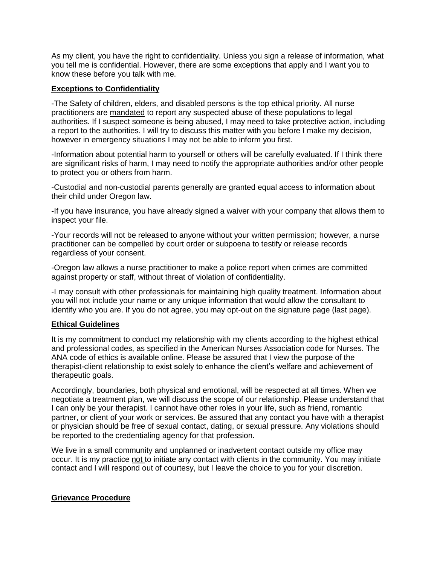As my client, you have the right to confidentiality. Unless you sign a release of information, what you tell me is confidential. However, there are some exceptions that apply and I want you to know these before you talk with me.

## **Exceptions to Confidentiality**

-The Safety of children, elders, and disabled persons is the top ethical priority. All nurse practitioners are mandated to report any suspected abuse of these populations to legal authorities. If I suspect someone is being abused, I may need to take protective action, including a report to the authorities. I will try to discuss this matter with you before I make my decision, however in emergency situations I may not be able to inform you first.

-Information about potential harm to yourself or others will be carefully evaluated. If I think there are significant risks of harm, I may need to notify the appropriate authorities and/or other people to protect you or others from harm.

-Custodial and non-custodial parents generally are granted equal access to information about their child under Oregon law.

-If you have insurance, you have already signed a waiver with your company that allows them to inspect your file.

-Your records will not be released to anyone without your written permission; however, a nurse practitioner can be compelled by court order or subpoena to testify or release records regardless of your consent.

-Oregon law allows a nurse practitioner to make a police report when crimes are committed against property or staff, without threat of violation of confidentiality.

-I may consult with other professionals for maintaining high quality treatment. Information about you will not include your name or any unique information that would allow the consultant to identify who you are. If you do not agree, you may opt-out on the signature page (last page).

#### **Ethical Guidelines**

It is my commitment to conduct my relationship with my clients according to the highest ethical and professional codes, as specified in the American Nurses Association code for Nurses. The ANA code of ethics is available online. Please be assured that I view the purpose of the therapist-client relationship to exist solely to enhance the client's welfare and achievement of therapeutic goals.

Accordingly, boundaries, both physical and emotional, will be respected at all times. When we negotiate a treatment plan, we will discuss the scope of our relationship. Please understand that I can only be your therapist. I cannot have other roles in your life, such as friend, romantic partner, or client of your work or services. Be assured that any contact you have with a therapist or physician should be free of sexual contact, dating, or sexual pressure. Any violations should be reported to the credentialing agency for that profession.

We live in a small community and unplanned or inadvertent contact outside my office may occur. It is my practice not to initiate any contact with clients in the community. You may initiate contact and I will respond out of courtesy, but I leave the choice to you for your discretion.

## **Grievance Procedure**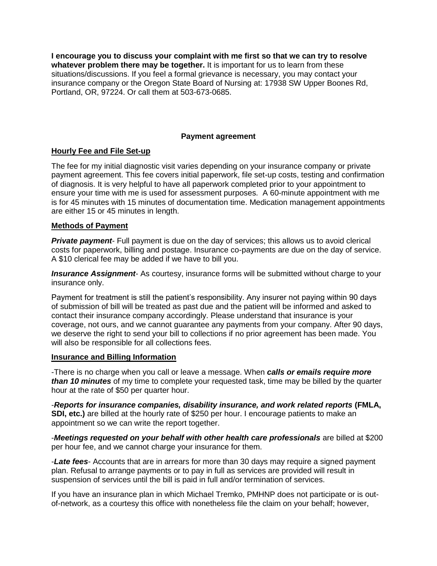**I encourage you to discuss your complaint with me first so that we can try to resolve whatever problem there may be together.** It is important for us to learn from these situations/discussions. If you feel a formal grievance is necessary, you may contact your insurance company or the Oregon State Board of Nursing at: 17938 SW Upper Boones Rd, Portland, OR, 97224. Or call them at 503-673-0685.

## **Payment agreement**

### **Hourly Fee and File Set-up**

The fee for my initial diagnostic visit varies depending on your insurance company or private payment agreement. This fee covers initial paperwork, file set-up costs, testing and confirmation of diagnosis. It is very helpful to have all paperwork completed prior to your appointment to ensure your time with me is used for assessment purposes. A 60-minute appointment with me is for 45 minutes with 15 minutes of documentation time. Medication management appointments are either 15 or 45 minutes in length.

### **Methods of Payment**

**Private payment**- Full payment is due on the day of services; this allows us to avoid clerical costs for paperwork, billing and postage. Insurance co-payments are due on the day of service. A \$10 clerical fee may be added if we have to bill you.

*Insurance Assignment*- As courtesy, insurance forms will be submitted without charge to your insurance only.

Payment for treatment is still the patient's responsibility. Any insurer not paying within 90 days of submission of bill will be treated as past due and the patient will be informed and asked to contact their insurance company accordingly. Please understand that insurance is your coverage, not ours, and we cannot guarantee any payments from your company. After 90 days, we deserve the right to send your bill to collections if no prior agreement has been made. You will also be responsible for all collections fees.

#### **Insurance and Billing Information**

-There is no charge when you call or leave a message. When *calls or emails require more than 10 minutes* of my time to complete your requested task, time may be billed by the quarter hour at the rate of \$50 per quarter hour.

-*Reports for insurance companies, disability insurance, and work related reports* **(FMLA, SDI, etc.)** are billed at the hourly rate of \$250 per hour. I encourage patients to make an appointment so we can write the report together.

-*Meetings requested on your behalf with other health care professionals* are billed at \$200 per hour fee, and we cannot charge your insurance for them.

-*Late fees*- Accounts that are in arrears for more than 30 days may require a signed payment plan. Refusal to arrange payments or to pay in full as services are provided will result in suspension of services until the bill is paid in full and/or termination of services.

If you have an insurance plan in which Michael Tremko, PMHNP does not participate or is outof-network, as a courtesy this office with nonetheless file the claim on your behalf; however,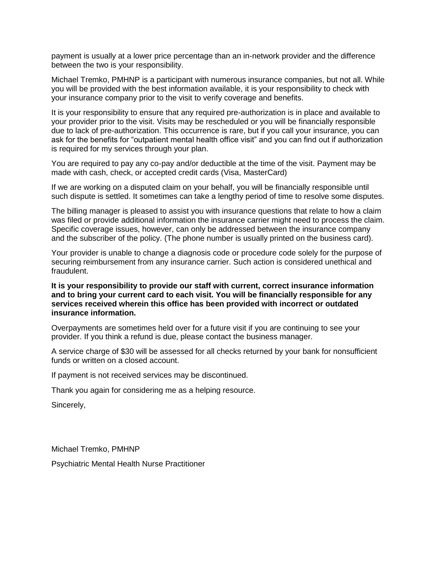payment is usually at a lower price percentage than an in-network provider and the difference between the two is your responsibility.

Michael Tremko, PMHNP is a participant with numerous insurance companies, but not all. While you will be provided with the best information available, it is your responsibility to check with your insurance company prior to the visit to verify coverage and benefits.

It is your responsibility to ensure that any required pre-authorization is in place and available to your provider prior to the visit. Visits may be rescheduled or you will be financially responsible due to lack of pre-authorization. This occurrence is rare, but if you call your insurance, you can ask for the benefits for "outpatient mental health office visit" and you can find out if authorization is required for my services through your plan.

You are required to pay any co-pay and/or deductible at the time of the visit. Payment may be made with cash, check, or accepted credit cards (Visa, MasterCard)

If we are working on a disputed claim on your behalf, you will be financially responsible until such dispute is settled. It sometimes can take a lengthy period of time to resolve some disputes.

The billing manager is pleased to assist you with insurance questions that relate to how a claim was filed or provide additional information the insurance carrier might need to process the claim. Specific coverage issues, however, can only be addressed between the insurance company and the subscriber of the policy. (The phone number is usually printed on the business card).

Your provider is unable to change a diagnosis code or procedure code solely for the purpose of securing reimbursement from any insurance carrier. Such action is considered unethical and fraudulent.

**It is your responsibility to provide our staff with current, correct insurance information and to bring your current card to each visit. You will be financially responsible for any services received wherein this office has been provided with incorrect or outdated insurance information.** 

Overpayments are sometimes held over for a future visit if you are continuing to see your provider. If you think a refund is due, please contact the business manager.

A service charge of \$30 will be assessed for all checks returned by your bank for nonsufficient funds or written on a closed account.

If payment is not received services may be discontinued.

Thank you again for considering me as a helping resource.

Sincerely,

Michael Tremko, PMHNP

Psychiatric Mental Health Nurse Practitioner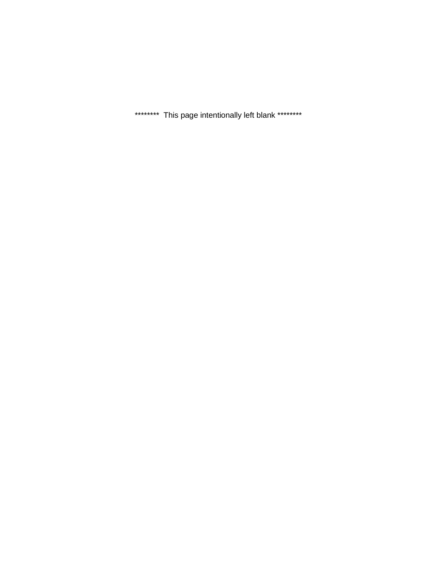\*\*\*\*\*\*\*\* This page intentionally left blank \*\*\*\*\*\*\*\*